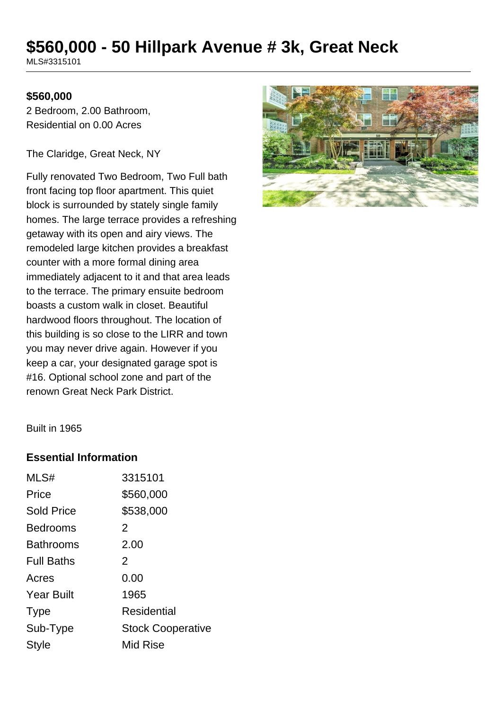# **\$560,000 - 50 Hillpark Avenue # 3k, Great Neck**

MLS#3315101

#### **\$560,000**

2 Bedroom, 2.00 Bathroom, Residential on 0.00 Acres

The Claridge, Great Neck, NY

Fully renovated Two Bedroom, Two Full bath front facing top floor apartment. This quiet block is surrounded by stately single family homes. The large terrace provides a refreshing getaway with its open and airy views. The remodeled large kitchen provides a breakfast counter with a more formal dining area immediately adjacent to it and that area leads to the terrace. The primary ensuite bedroom boasts a custom walk in closet. Beautiful hardwood floors throughout. The location of this building is so close to the LIRR and town you may never drive again. However if you keep a car, your designated garage spot is #16. Optional school zone and part of the renown Great Neck Park District.



Built in 1965

### **Essential Information**

| MLS#              | 3315101                  |
|-------------------|--------------------------|
| Price             | \$560,000                |
| <b>Sold Price</b> | \$538,000                |
| Bedrooms          | 2                        |
| <b>Bathrooms</b>  | 2.00                     |
| <b>Full Baths</b> | 2                        |
| Acres             | 0.00                     |
| <b>Year Built</b> | 1965                     |
| <b>Type</b>       | Residential              |
| Sub-Type          | <b>Stock Cooperative</b> |
| Style             | <b>Mid Rise</b>          |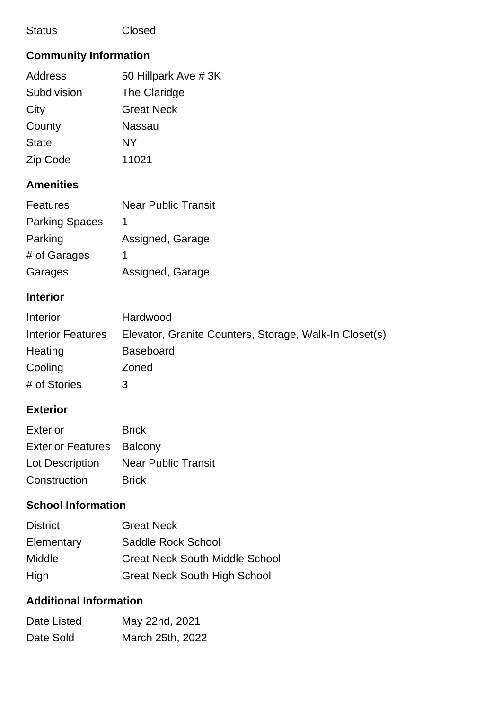### Status Closed

# **Community Information**

| Address      | 50 Hillpark Ave # 3K |
|--------------|----------------------|
| Subdivision  | The Claridge         |
| City         | <b>Great Neck</b>    |
| County       | <b>Nassau</b>        |
| <b>State</b> | <b>NY</b>            |
| Zip Code     | 11021                |

# **Amenities**

| <b>Features</b>       | <b>Near Public Transit</b> |
|-----------------------|----------------------------|
| <b>Parking Spaces</b> | 1                          |
| Parking               | Assigned, Garage           |
| # of Garages          | 1                          |
| Garages               | Assigned, Garage           |

## **Interior**

| Interior                 | Hardwood                                               |
|--------------------------|--------------------------------------------------------|
| <b>Interior Features</b> | Elevator, Granite Counters, Storage, Walk-In Closet(s) |
| Heating                  | <b>Baseboard</b>                                       |
| Cooling                  | Zoned                                                  |
| # of Stories             | 3                                                      |

## **Exterior**

| <b>Exterior</b>                  | <b>Brick</b>               |
|----------------------------------|----------------------------|
| <b>Exterior Features</b> Balcony |                            |
| Lot Description                  | <b>Near Public Transit</b> |
| Construction                     | <b>Brick</b>               |

## **School Information**

| <b>District</b> | <b>Great Neck</b>                     |
|-----------------|---------------------------------------|
| Elementary      | Saddle Rock School                    |
| <b>Middle</b>   | <b>Great Neck South Middle School</b> |
| High            | <b>Great Neck South High School</b>   |

# **Additional Information**

| Date Listed | May 22nd, 2021   |
|-------------|------------------|
| Date Sold   | March 25th, 2022 |